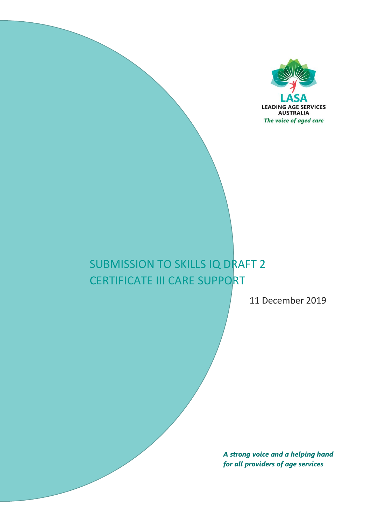

# SUBMISSION TO SKILLS IQ DRAFT 2 CERTIFICATE III CARE SUPPORT

11 December 2019

*A strong voice and a helping hand for all providers of age services*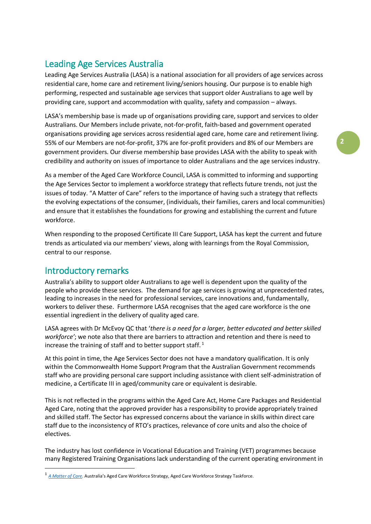## Leading Age Services Australia

Leading Age Services Australia (LASA) is a national association for all providers of age services across residential care, home care and retirement living/seniors housing. Our purpose is to enable high performing, respected and sustainable age services that support older Australians to age well by providing care, support and accommodation with quality, safety and compassion – always.

LASA's membership base is made up of organisations providing care, support and services to older Australians. Our Members include private, not-for-profit, faith-based and government operated organisations providing age services across residential aged care, home care and retirement living. 55% of our Members are not-for-profit, 37% are for-profit providers and 8% of our Members are government providers. Our diverse membership base provides LASA with the ability to speak with credibility and authority on issues of importance to older Australians and the age services industry.

As a member of the Aged Care Workforce Council, LASA is committed to informing and supporting the Age Services Sector to implement a workforce strategy that reflects future trends, not just the issues of today. "A Matter of Care" refers to the importance of having such a strategy that reflects the evolving expectations of the consumer, (individuals, their families, carers and local communities) and ensure that it establishes the foundations for growing and establishing the current and future workforce.

When responding to the proposed Certificate III Care Support, LASA has kept the current and future trends as articulated via our members' views, along with learnings from the Royal Commission, central to our response.

### Introductory remarks

-

Australia's ability to support older Australians to age well is dependent upon the quality of the people who provide these services. The demand for age services is growing at unprecedented rates, leading to increases in the need for professional services, care innovations and, fundamentally, workers to deliver these. Furthermore LASA recognises that the aged care workforce is the one essential ingredient in the delivery of quality aged care.

LASA agrees with Dr McEvoy QC that '*there is a need for a larger, better educated and better skilled workforce'*; we note also that there are barriers to attraction and retention and there is need to increase the training of staff and to better support staff.<sup>1</sup>

At this point in time, the Age Services Sector does not have a mandatory qualification. It is only within the Commonwealth Home Support Program that the Australian Government recommends staff who are providing personal care support including assistance with client self-administration of medicine, a Certificate III in aged/community care or equivalent is desirable.

This is not reflected in the programs within the Aged Care Act, Home Care Packages and Residential Aged Care, noting that the approved provider has a responsibility to provide appropriately trained and skilled staff. The Sector has expressed concerns about the variance in skills within direct care staff due to the inconsistency of RTO's practices, relevance of core units and also the choice of electives.

The industry has lost confidence in Vocational Education and Training (VET) programmes because many Registered Training Organisations lack understanding of the current operating environment in

<sup>1</sup> *[A Matter of Care](https://agedcare.health.gov.au/sites/default/files/documents/09_2018/aged_care_workforce_strategy_report.pdf)*. Australia's Aged Care Workforce Strategy, Aged Care Workforce Strategy Taskforce.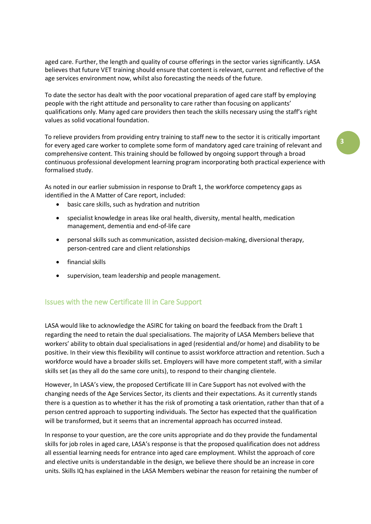aged care. Further, the length and quality of course offerings in the sector varies significantly. LASA believes that future VET training should ensure that content is relevant, current and reflective of the age services environment now, whilst also forecasting the needs of the future.

To date the sector has dealt with the poor vocational preparation of aged care staff by employing people with the right attitude and personality to care rather than focusing on applicants' qualifications only. Many aged care providers then teach the skills necessary using the staff's right values as solid vocational foundation.

To relieve providers from providing entry training to staff new to the sector it is critically important for every aged care worker to complete some form of mandatory aged care training of relevant and comprehensive content. This training should be followed by ongoing support through a broad continuous professional development learning program incorporating both practical experience with formalised study.

As noted in our earlier submission in response to Draft 1, the workforce competency gaps as identified in the A Matter of Care report, included:

- basic care skills, such as hydration and nutrition
- specialist knowledge in areas like oral health, diversity, mental health, medication management, dementia and end-of-life care
- personal skills such as communication, assisted decision-making, diversional therapy, person-centred care and client relationships
- **•** financial skills
- supervision, team leadership and people management.

#### Issues with the new Certificate III in Care Support

LASA would like to acknowledge the ASIRC for taking on board the feedback from the Draft 1 regarding the need to retain the dual specialisations. The majority of LASA Members believe that workers' ability to obtain dual specialisations in aged (residential and/or home) and disability to be positive. In their view this flexibility will continue to assist workforce attraction and retention. Such a workforce would have a broader skills set. Employers will have more competent staff, with a similar skills set (as they all do the same core units), to respond to their changing clientele.

However, In LASA's view, the proposed Certificate III in Care Support has not evolved with the changing needs of the Age Services Sector, its clients and their expectations. As it currently stands there is a question as to whether it has the risk of promoting a task orientation, rather than that of a person centred approach to supporting individuals. The Sector has expected that the qualification will be transformed, but it seems that an incremental approach has occurred instead.

In response to your question, are the core units appropriate and do they provide the fundamental skills for job roles in aged care, LASA's response is that the proposed qualification does not address all essential learning needs for entrance into aged care employment. Whilst the approach of core and elective units is understandable in the design, we believe there should be an increase in core units. Skills IQ has explained in the LASA Members webinar the reason for retaining the number of

**3**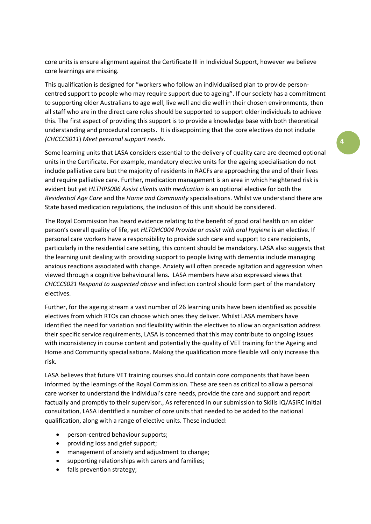core units is ensure alignment against the Certificate III in Individual Support, however we believe core learnings are missing.

This qualification is designed for "workers who follow an individualised plan to provide personcentred support to people who may require support due to ageing". If our society has a commitment to supporting older Australians to age well, live well and die well in their chosen environments, then all staff who are in the direct care roles should be supported to support older individuals to achieve this. The first aspect of providing this support is to provide a knowledge base with both theoretical understanding and procedural concepts. It is disappointing that the core electives do not include *(CHCCCS011*) *Meet personal support needs.*

Some learning units that LASA considers essential to the delivery of quality care are deemed optional units in the Certificate. For example, mandatory elective units for the ageing specialisation do not include palliative care but the majority of residents in RACFs are approaching the end of their lives and require palliative care. Further, medication management is an area in which heightened risk is evident but yet *HLTHPS006 Assist clients with medication* is an optional elective for both the *Residential Age Care* and the *Home and Community* specialisations. Whilst we understand there are State based medication regulations, the inclusion of this unit should be considered.

The Royal Commission has heard evidence relating to the benefit of good oral health on an older person's overall quality of life, yet *HLTOHC004 Provide or assist with oral hygiene* is an elective. If personal care workers have a responsibility to provide such care and support to care recipients, particularly in the residential care setting, this content should be mandatory. LASA also suggests that the learning unit dealing with providing support to people living with dementia include managing anxious reactions associated with change. Anxiety will often precede agitation and aggression when viewed through a cognitive behavioural lens. LASA members have also expressed views that *CHCCCS021 Respond to suspected abuse* and infection control should form part of the mandatory electives.

Further, for the ageing stream a vast number of 26 learning units have been identified as possible electives from which RTOs can choose which ones they deliver. Whilst LASA members have identified the need for variation and flexibility within the electives to allow an organisation address their specific service requirements, LASA is concerned that this may contribute to ongoing issues with inconsistency in course content and potentially the quality of VET training for the Ageing and Home and Community specialisations. Making the qualification more flexible will only increase this risk.

LASA believes that future VET training courses should contain core components that have been informed by the learnings of the Royal Commission. These are seen as critical to allow a personal care worker to understand the individual's care needs, provide the care and support and report factually and promptly to their supervisor., As referenced in our submission to Skills IQ/ASIRC initial consultation, LASA identified a number of core units that needed to be added to the national qualification, along with a range of elective units. These included:

- person-centred behaviour supports:
- providing loss and grief support;
- management of anxiety and adjustment to change;
- supporting relationships with carers and families;
- falls prevention strategy;

# **4**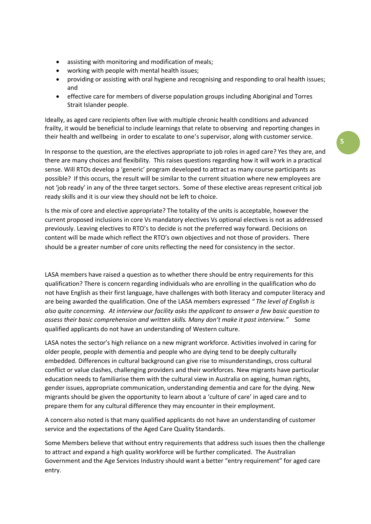- assisting with monitoring and modification of meals;
- working with people with mental health issues;
- providing or assisting with oral hygiene and recognising and responding to oral health issues; and
- effective care for members of diverse population groups including Aboriginal and Torres Strait Islander people.

Ideally, as aged care recipients often live with multiple chronic health conditions and advanced frailty, it would be beneficial to include learnings that relate to observing and reporting changes in their health and wellbeing in order to escalate to one's supervisor, along with customer service.

In response to the question, are the electives appropriate to job roles in aged care? Yes they are, and there are many choices and flexibility. This raises questions regarding how it will work in a practical sense. Will RTOs develop a 'generic' program developed to attract as many course participants as possible? If this occurs, the result will be similar to the current situation where new employees are not 'job ready' in any of the three target sectors. Some of these elective areas represent critical job ready skills and it is our view they should not be left to choice.

Is the mix of core and elective appropriate? The totality of the units is acceptable, however the current proposed inclusions in core Vs mandatory electives Vs optional electives is not as addressed previously. Leaving electives to RTO's to decide is not the preferred way forward. Decisions on content will be made which reflect the RTO's own objectives and not those of providers. There should be a greater number of core units reflecting the need for consistency in the sector.

LASA members have raised a question as to whether there should be entry requirements for this qualification? There is concern regarding individuals who are enrolling in the qualification who do not have English as their first language, have challenges with both literacy and computer literacy and are being awarded the qualification. One of the LASA members expressed *" The level of English is also quite concerning. At interview our facility asks the applicant to answer a few basic question to assess their basic comprehension and written skills. Many don't make it past interview."* Some qualified applicants do not have an understanding of Western culture.

LASA notes the sector's high reliance on a new migrant workforce. Activities involved in caring for older people, people with dementia and people who are dying tend to be deeply culturally embedded. Differences in cultural background can give rise to misunderstandings, cross cultural conflict or value clashes, challenging providers and their workforces. New migrants have particular education needs to familiarise them with the cultural view in Australia on ageing, human rights, gender issues, appropriate communication, understanding dementia and care for the dying. New migrants should be given the opportunity to learn about a 'culture of care' in aged care and to prepare them for any cultural difference they may encounter in their employment.

A concern also noted is that many qualified applicants do not have an understanding of customer service and the expectations of the Aged Care Quality Standards.

Some Members believe that without entry requirements that address such issues then the challenge to attract and expand a high quality workforce will be further complicated. The Australian Government and the Age Services Industry should want a better "entry requirement" for aged care entry.

**5**